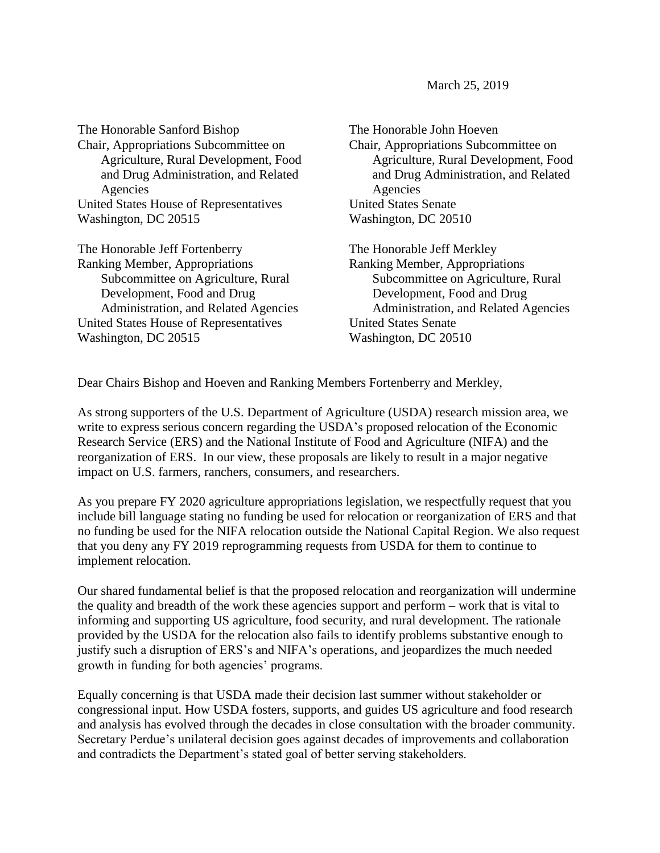March 25, 2019

The Honorable Sanford Bishop Chair, Appropriations Subcommittee on Agriculture, Rural Development, Food and Drug Administration, and Related Agencies United States House of Representatives Washington, DC 20515

The Honorable Jeff Fortenberry Ranking Member, Appropriations Subcommittee on Agriculture, Rural Development, Food and Drug Administration, and Related Agencies United States House of Representatives Washington, DC 20515

The Honorable John Hoeven Chair, Appropriations Subcommittee on Agriculture, Rural Development, Food and Drug Administration, and Related Agencies United States Senate Washington, DC 20510

The Honorable Jeff Merkley Ranking Member, Appropriations Subcommittee on Agriculture, Rural Development, Food and Drug Administration, and Related Agencies United States Senate Washington, DC 20510

Dear Chairs Bishop and Hoeven and Ranking Members Fortenberry and Merkley,

As strong supporters of the U.S. Department of Agriculture (USDA) research mission area, we write to express serious concern regarding the USDA's proposed relocation of the Economic Research Service (ERS) and the National Institute of Food and Agriculture (NIFA) and the reorganization of ERS. In our view, these proposals are likely to result in a major negative impact on U.S. farmers, ranchers, consumers, and researchers.

As you prepare FY 2020 agriculture appropriations legislation, we respectfully request that you include bill language stating no funding be used for relocation or reorganization of ERS and that no funding be used for the NIFA relocation outside the National Capital Region. We also request that you deny any FY 2019 reprogramming requests from USDA for them to continue to implement relocation.

Our shared fundamental belief is that the proposed relocation and reorganization will undermine the quality and breadth of the work these agencies support and perform – work that is vital to informing and supporting US agriculture, food security, and rural development. The rationale provided by the USDA for the relocation also fails to identify problems substantive enough to justify such a disruption of ERS's and NIFA's operations, and jeopardizes the much needed growth in funding for both agencies' programs.

Equally concerning is that USDA made their decision last summer without stakeholder or congressional input. How USDA fosters, supports, and guides US agriculture and food research and analysis has evolved through the decades in close consultation with the broader community. Secretary Perdue's unilateral decision goes against decades of improvements and collaboration and contradicts the Department's stated goal of better serving stakeholders.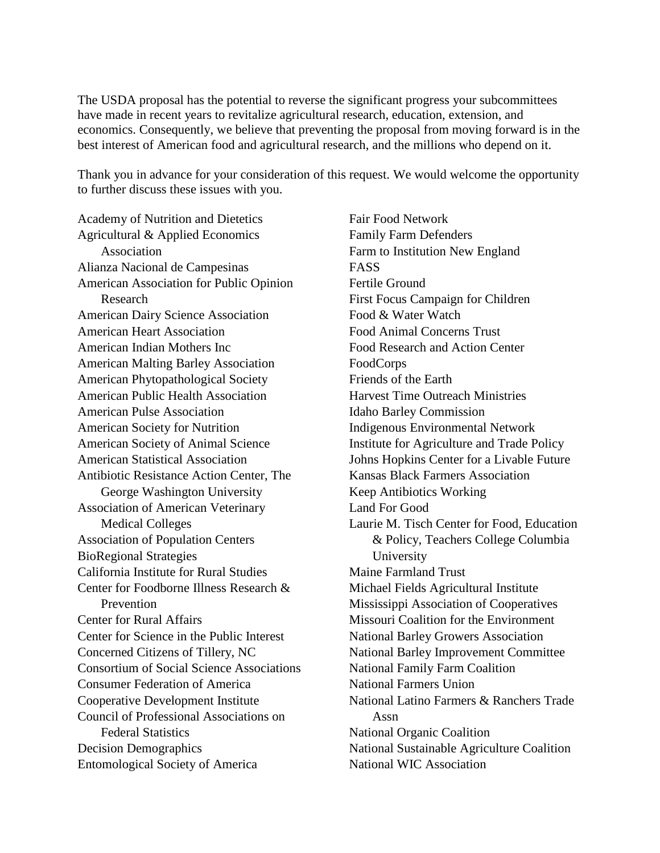The USDA proposal has the potential to reverse the significant progress your subcommittees have made in recent years to revitalize agricultural research, education, extension, and economics. Consequently, we believe that preventing the proposal from moving forward is in the best interest of American food and agricultural research, and the millions who depend on it.

Thank you in advance for your consideration of this request. We would welcome the opportunity to further discuss these issues with you.

Academy of Nutrition and Dietetics Agricultural & Applied Economics Association Alianza Nacional de Campesinas American Association for Public Opinion Research American Dairy Science Association American Heart Association American Indian Mothers Inc American Malting Barley Association American Phytopathological Society American Public Health Association American Pulse Association American Society for Nutrition American Society of Animal Science American Statistical Association Antibiotic Resistance Action Center, The George Washington University Association of American Veterinary Medical Colleges Association of Population Centers BioRegional Strategies California Institute for Rural Studies Center for Foodborne Illness Research & Prevention Center for Rural Affairs Center for Science in the Public Interest Concerned Citizens of Tillery, NC Consortium of Social Science Associations Consumer Federation of America Cooperative Development Institute Council of Professional Associations on Federal Statistics Decision Demographics Entomological Society of America

Fair Food Network Family Farm Defenders Farm to Institution New England FASS Fertile Ground First Focus Campaign for Children Food & Water Watch Food Animal Concerns Trust Food Research and Action Center FoodCorps Friends of the Earth Harvest Time Outreach Ministries Idaho Barley Commission Indigenous Environmental Network Institute for Agriculture and Trade Policy Johns Hopkins Center for a Livable Future Kansas Black Farmers Association Keep Antibiotics Working Land For Good Laurie M. Tisch Center for Food, Education & Policy, Teachers College Columbia University Maine Farmland Trust Michael Fields Agricultural Institute Mississippi Association of Cooperatives Missouri Coalition for the Environment National Barley Growers Association National Barley Improvement Committee National Family Farm Coalition National Farmers Union National Latino Farmers & Ranchers Trade Assn National Organic Coalition National Sustainable Agriculture Coalition National WIC Association